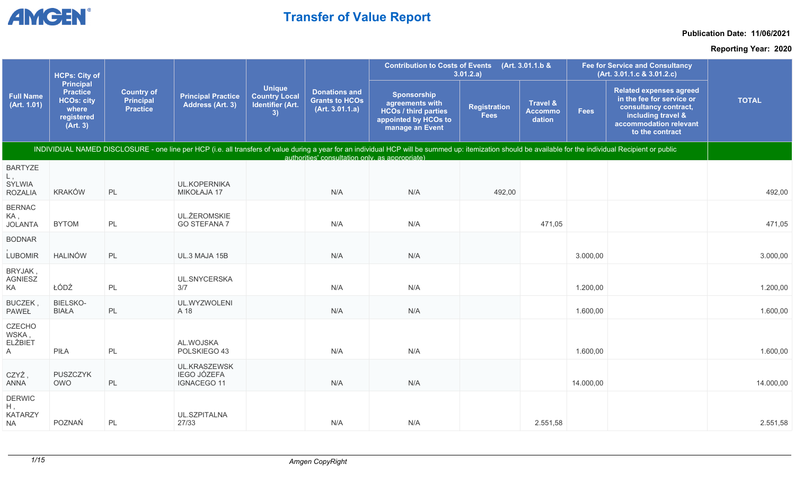

### **Publication Date: 11/06/2021**

|                                                    | <b>HCPs: City of</b>                                                                        |                                                          |                                                          |                                                                        |                                                                  | <b>Contribution to Costs of Events</b>                                                                                                                                                                    | 3.01.2.a)                          | (Art. 3.01.1.b &                                |             | <b>Fee for Service and Consultancy</b><br>(Art. 3.01.1.c & 3.01.2.c)                                                                                    |              |
|----------------------------------------------------|---------------------------------------------------------------------------------------------|----------------------------------------------------------|----------------------------------------------------------|------------------------------------------------------------------------|------------------------------------------------------------------|-----------------------------------------------------------------------------------------------------------------------------------------------------------------------------------------------------------|------------------------------------|-------------------------------------------------|-------------|---------------------------------------------------------------------------------------------------------------------------------------------------------|--------------|
| <b>Full Name</b><br>(Art. 1.01)                    | <b>Principal</b><br><b>Practice</b><br><b>HCOs: city</b><br>where<br>registered<br>(Art. 3) | <b>Country of</b><br><b>Principal</b><br><b>Practice</b> | <b>Principal Practice</b><br>Address (Art. 3)            | <b>Unique</b><br><b>Country Local</b><br><b>Identifier (Art.</b><br>3) | <b>Donations and</b><br><b>Grants to HCOs</b><br>(Art. 3.01.1.a) | <b>Sponsorship</b><br>agreements with<br><b>HCOs / third parties</b><br>appointed by HCOs to<br>manage an Event                                                                                           | <b>Registration</b><br><b>Fees</b> | <b>Travel &amp;</b><br><b>Accommo</b><br>dation | <b>Fees</b> | <b>Related expenses agreed</b><br>in the fee for service or<br>consultancy contract,<br>including travel &<br>accommodation relevant<br>to the contract | <b>TOTAL</b> |
|                                                    |                                                                                             |                                                          |                                                          |                                                                        | authorities' consultation only, as appropriate)                  | INDIVIDUAL NAMED DISCLOSURE - one line per HCP (i.e. all transfers of value during a year for an individual HCP will be summed up: itemization should be available for the individual Recipient or public |                                    |                                                 |             |                                                                                                                                                         |              |
| <b>BARTYZE</b>                                     |                                                                                             |                                                          |                                                          |                                                                        |                                                                  |                                                                                                                                                                                                           |                                    |                                                 |             |                                                                                                                                                         |              |
| SYLWIA<br><b>ROZALIA</b>                           | <b>KRAKÓW</b>                                                                               | PL                                                       | <b>UL.KOPERNIKA</b><br>MIKOŁAJA 17                       |                                                                        | N/A                                                              | N/A                                                                                                                                                                                                       | 492,00                             |                                                 |             |                                                                                                                                                         | 492,00       |
| <b>BERNAC</b><br>KA,<br><b>JOLANTA</b>             | <b>BYTOM</b>                                                                                | PL                                                       | <b>UL.ŻEROMSKIE</b><br><b>GO STEFANA 7</b>               |                                                                        | N/A                                                              | N/A                                                                                                                                                                                                       |                                    | 471,05                                          |             |                                                                                                                                                         | 471,05       |
| <b>BODNAR</b>                                      |                                                                                             |                                                          |                                                          |                                                                        |                                                                  |                                                                                                                                                                                                           |                                    |                                                 |             |                                                                                                                                                         |              |
| LUBOMIR                                            | <b>HALINÓW</b>                                                                              | PL                                                       | UL.3 MAJA 15B                                            |                                                                        | N/A                                                              | N/A                                                                                                                                                                                                       |                                    |                                                 | 3.000,00    |                                                                                                                                                         | 3.000,00     |
| BRYJAK,<br><b>AGNIESZ</b><br>KA                    | ŁÓDŹ                                                                                        | PL                                                       | UL.SNYCERSKA<br>3/7                                      |                                                                        | N/A                                                              | N/A                                                                                                                                                                                                       |                                    |                                                 | 1.200,00    |                                                                                                                                                         | 1.200,00     |
| BUCZEK,<br><b>PAWEŁ</b>                            | <b>BIELSKO-</b><br><b>BIAŁA</b>                                                             | PL                                                       | UL.WYZWOLENI<br>A 18                                     |                                                                        | N/A                                                              | N/A                                                                                                                                                                                                       |                                    |                                                 | 1.600,00    |                                                                                                                                                         | 1.600,00     |
| <b>CZECHO</b><br>WSKA,<br><b>ELŻBIET</b><br>A      | PIŁA                                                                                        | $\mathsf{PL}$                                            | AL.WOJSKA<br>POLSKIEGO 43                                |                                                                        | N/A                                                              | N/A                                                                                                                                                                                                       |                                    |                                                 | 1.600,00    |                                                                                                                                                         | 1.600,00     |
| CZYŻ,<br>ANNA                                      | PUSZCZYK<br>OWO                                                                             | PL                                                       | UL.KRASZEWSK<br><b>IEGO JÓZEFA</b><br><b>IGNACEGO 11</b> |                                                                        | N/A                                                              | N/A                                                                                                                                                                                                       |                                    |                                                 | 14.000,00   |                                                                                                                                                         | 14.000,00    |
| <b>DERWIC</b><br>H,<br><b>KATARZY</b><br><b>NA</b> | POZNAŃ                                                                                      | PL                                                       | UL.SZPITALNA<br>27/33                                    |                                                                        | N/A                                                              | N/A                                                                                                                                                                                                       |                                    | 2.551,58                                        |             |                                                                                                                                                         | 2.551,58     |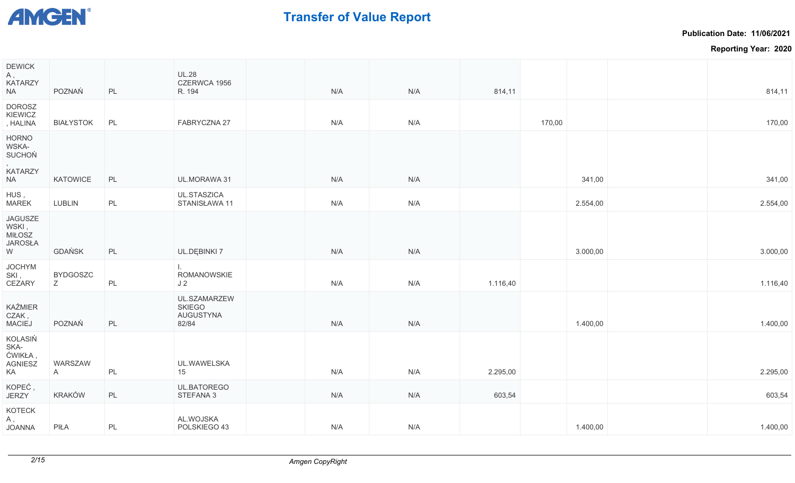

**Publication Date: 11/06/2021**

| <b>DEWICK</b><br>А,<br><b>KATARZY</b><br>NA                           | POZNAŃ                  | PL | <b>UL.28</b><br>CZERWCA 1956<br>R. 194                     | N/A | N/A | 814,11   |        |          | 814,11   |
|-----------------------------------------------------------------------|-------------------------|----|------------------------------------------------------------|-----|-----|----------|--------|----------|----------|
| <b>DOROSZ</b><br>KIEWICZ<br>, HALINA                                  | <b>BIAŁYSTOK</b>        | PL | FABRYCZNA 27                                               | N/A | N/A |          | 170,00 |          | 170,00   |
| <b>HORNO</b><br>WSKA-<br><b>SUCHOŃ</b><br><b>KATARZY</b><br><b>NA</b> | KATOWICE                | PL | UL.MORAWA 31                                               | N/A | N/A |          |        | 341,00   | 341,00   |
| HUS,                                                                  |                         |    | UL.STASZICA                                                |     |     |          |        |          |          |
| <b>MAREK</b>                                                          | LUBLIN                  | PL | STANISŁAWA 11                                              | N/A | N/A |          |        | 2.554,00 | 2.554,00 |
| <b>JAGUSZE</b><br>WSKI,<br><b>MIŁOSZ</b><br><b>JAROSŁA</b><br>W       | <b>GDAŃSK</b>           | PL | UL.DĘBINKI 7                                               | N/A | N/A |          |        | 3.000,00 | 3.000,00 |
| <b>JOCHYM</b><br>SKI,<br>CEZARY                                       | <b>BYDGOSZC</b><br>Ζ    | PL | $\mathbf{L}$<br>ROMANOWSKIE<br>J <sub>2</sub>              | N/A | N/A | 1.116,40 |        |          | 1.116,40 |
| KAŹMIER<br>CZAK,<br>MACIEJ                                            | POZNAŃ                  | PL | UL.SZAMARZEW<br><b>SKIEGO</b><br><b>AUGUSTYNA</b><br>82/84 | N/A | N/A |          |        | 1.400,00 | 1.400,00 |
| KOLASIŃ<br>SKA-<br>ĆWIKŁA,<br><b>AGNIESZ</b><br>KA                    | WARSZAW<br>$\mathsf{A}$ | PL | UL.WAWELSKA<br>15                                          | N/A | N/A | 2.295,00 |        |          | 2.295,00 |
| KOPEĆ,<br>JERZY                                                       | KRAKÓW                  | PL | UL.BATOREGO<br>STEFANA 3                                   | N/A | N/A | 603,54   |        |          | 603,54   |
| KOTECK<br>Α,<br><b>ANAOL</b>                                          | PIŁA                    | PL | AL.WOJSKA<br>POLSKIEGO 43                                  | N/A | N/A |          |        | 1.400,00 | 1.400,00 |
|                                                                       |                         |    |                                                            |     |     |          |        |          |          |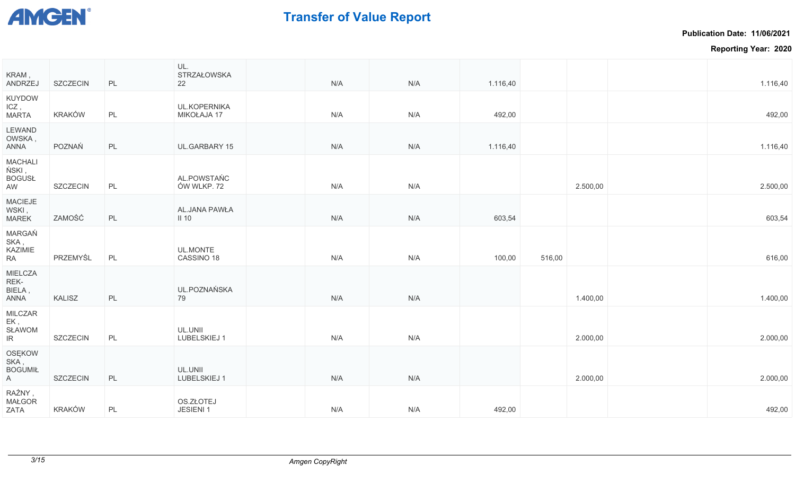

**Publication Date: 11/06/2021**

| <b>KUYDOW</b><br>ICZ,<br><b>UL.KOPERNIKA</b><br>KRAKÓW<br>PL<br>MIKOŁAJA 17<br><b>MARTA</b><br>N/A<br>N/A<br>492,00<br>LEWAND<br>OWSKA,<br>POZNAŃ<br>PL<br>UL.GARBARY 15<br>N/A<br>1.116,40<br>ANNA<br>N/A<br><b>MACHALI</b><br>ŃSKI,<br>AL.POWSTAŃC<br><b>BOGUSŁ</b><br>ÓW WLKP. 72<br>AW<br>SZCZECIN<br>PL<br>N/A<br>N/A<br>2.500,00<br>MACIEJE<br>WSKI,<br>AL.JANA PAWŁA<br>ZAMOŚĆ<br>MAREK<br>PL<br>N/A<br>N/A<br>603,54<br>$II$ 10<br>MARGAŃ<br>SKA,<br>KAZIMIE<br>UL.MONTE<br>RA<br>PRZEMYŚL<br>CASSINO 18<br>PL<br>N/A<br>N/A<br>100,00<br>516,00<br>MIELCZA<br>REK-<br>UL.POZNAŃSKA<br>BIELA,<br>PL<br>N/A<br>N/A<br>1.400,00<br>ANNA<br>KALISZ<br>79<br><b>MILCZAR</b><br>EK,<br>UL.UNII<br><b>SŁAWOM</b><br>SZCZECIN<br>LUBELSKIEJ 1<br>IR<br>PL<br>N/A<br>N/A<br>2.000,00<br>OSĘKOW<br>SKA,<br><b>BOGUMIŁ</b><br>UL.UNII<br>LUBELSKIEJ 1<br>A<br>SZCZECIN<br>PL<br>N/A<br>2.000,00<br>N/A | 1.116,40 |  | 1.116,40 | N/A | N/A | UL.<br>STRZAŁOWSKA<br>22 | PL | SZCZECIN | KRAM,<br>ANDRZEJ |
|------------------------------------------------------------------------------------------------------------------------------------------------------------------------------------------------------------------------------------------------------------------------------------------------------------------------------------------------------------------------------------------------------------------------------------------------------------------------------------------------------------------------------------------------------------------------------------------------------------------------------------------------------------------------------------------------------------------------------------------------------------------------------------------------------------------------------------------------------------------------------------------------------|----------|--|----------|-----|-----|--------------------------|----|----------|------------------|
|                                                                                                                                                                                                                                                                                                                                                                                                                                                                                                                                                                                                                                                                                                                                                                                                                                                                                                      | 492,00   |  |          |     |     |                          |    |          |                  |
|                                                                                                                                                                                                                                                                                                                                                                                                                                                                                                                                                                                                                                                                                                                                                                                                                                                                                                      | 1.116,40 |  |          |     |     |                          |    |          |                  |
|                                                                                                                                                                                                                                                                                                                                                                                                                                                                                                                                                                                                                                                                                                                                                                                                                                                                                                      | 2.500,00 |  |          |     |     |                          |    |          |                  |
|                                                                                                                                                                                                                                                                                                                                                                                                                                                                                                                                                                                                                                                                                                                                                                                                                                                                                                      | 603,54   |  |          |     |     |                          |    |          |                  |
|                                                                                                                                                                                                                                                                                                                                                                                                                                                                                                                                                                                                                                                                                                                                                                                                                                                                                                      | 616,00   |  |          |     |     |                          |    |          |                  |
|                                                                                                                                                                                                                                                                                                                                                                                                                                                                                                                                                                                                                                                                                                                                                                                                                                                                                                      | 1.400,00 |  |          |     |     |                          |    |          |                  |
|                                                                                                                                                                                                                                                                                                                                                                                                                                                                                                                                                                                                                                                                                                                                                                                                                                                                                                      | 2.000,00 |  |          |     |     |                          |    |          |                  |
|                                                                                                                                                                                                                                                                                                                                                                                                                                                                                                                                                                                                                                                                                                                                                                                                                                                                                                      | 2.000,00 |  |          |     |     |                          |    |          |                  |
| OS.ZŁOTEJ<br><b>MAŁGOR</b><br>KRAKÓW<br>JESIENI 1<br>ZATA<br>PL<br>N/A<br>N/A<br>492,00                                                                                                                                                                                                                                                                                                                                                                                                                                                                                                                                                                                                                                                                                                                                                                                                              | 492,00   |  |          |     |     |                          |    |          | RAŹNY,           |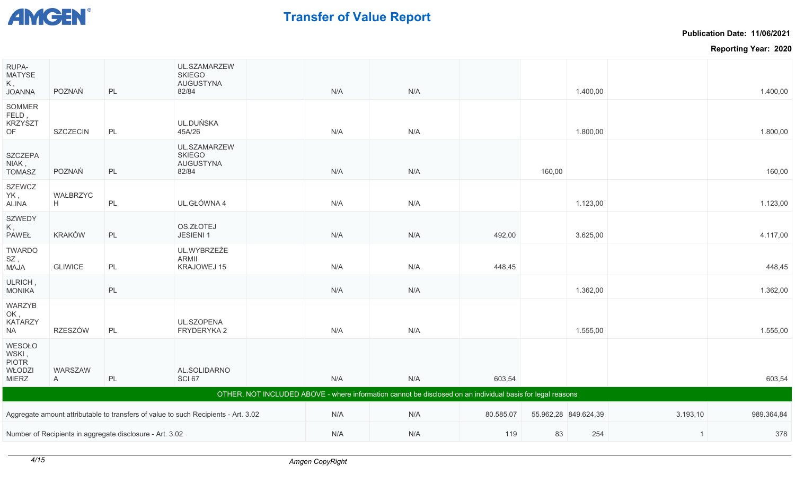

**Publication Date: 11/06/2021**

| RUPA-<br><b>MATYSE</b><br>Κ,<br><b>JOANNA</b>             | POZNAŃ         | PL                                                       | UL.SZAMARZEW<br><b>SKIEGO</b><br><b>AUGUSTYNA</b><br>82/84                         | N/A | N/A                                                                                                        |           |        | 1.400,00             |                | 1.400,00   |
|-----------------------------------------------------------|----------------|----------------------------------------------------------|------------------------------------------------------------------------------------|-----|------------------------------------------------------------------------------------------------------------|-----------|--------|----------------------|----------------|------------|
| SOMMER<br>FELD,<br><b>KRZYSZT</b><br>OF                   | SZCZECIN       | PL                                                       | UL.DUŃSKA<br>45A/26                                                                | N/A | N/A                                                                                                        |           |        | 1.800,00             |                | 1.800,00   |
| <b>SZCZEPA</b><br>NIAK,<br><b>TOMASZ</b>                  | POZNAŃ         | PL                                                       | UL.SZAMARZEW<br><b>SKIEGO</b><br><b>AUGUSTYNA</b><br>82/84                         | N/A | N/A                                                                                                        |           | 160,00 |                      |                | 160,00     |
| <b>SZEWCZ</b><br>YK,<br><b>ALINA</b>                      | WAŁBRZYC<br>H  | PL                                                       | UL.GŁÓWNA 4                                                                        | N/A | N/A                                                                                                        |           |        | 1.123,00             |                | 1.123,00   |
| <b>SZWEDY</b><br>Κ,<br><b>PAWEŁ</b>                       | <b>KRAKÓW</b>  | PL                                                       | OS.ZŁOTEJ<br>JESIENI 1                                                             | N/A | N/A                                                                                                        | 492,00    |        | 3.625,00             |                | 4.117,00   |
| <b>TWARDO</b><br>SZ,<br><b>ALAM</b>                       | <b>GLIWICE</b> | PL                                                       | UL.WYBRZEŻE<br>ARMII<br>KRAJOWEJ 15                                                | N/A | N/A                                                                                                        | 448,45    |        |                      |                | 448,45     |
| ULRICH,<br><b>MONIKA</b>                                  |                | PL                                                       |                                                                                    | N/A | N/A                                                                                                        |           |        | 1.362,00             |                | 1.362,00   |
| WARZYB<br>OK,<br><b>KATARZY</b><br><b>NA</b>              | <b>RZESZÓW</b> | PL                                                       | UL.SZOPENA<br>FRYDERYKA 2                                                          | N/A | N/A                                                                                                        |           |        | 1.555,00             |                | 1.555,00   |
| WESOŁO<br>WSKI,<br><b>PIOTR</b><br>WŁODZI<br><b>MIERZ</b> | WARSZAW<br>A   | PL                                                       | AL.SOLIDARNO<br>ŚCI 67                                                             | N/A | N/A                                                                                                        | 603,54    |        |                      |                | 603,54     |
|                                                           |                |                                                          |                                                                                    |     | OTHER, NOT INCLUDED ABOVE - where information cannot be disclosed on an individual basis for legal reasons |           |        |                      |                |            |
|                                                           |                |                                                          | Aggregate amount attributable to transfers of value to such Recipients - Art. 3.02 | N/A | N/A                                                                                                        | 80.585,07 |        | 55.962,28 849.624,39 | 3.193,10       | 989.364,84 |
|                                                           |                | Number of Recipients in aggregate disclosure - Art. 3.02 |                                                                                    | N/A | N/A                                                                                                        | 119       | 83     | 254                  | $\overline{1}$ | 378        |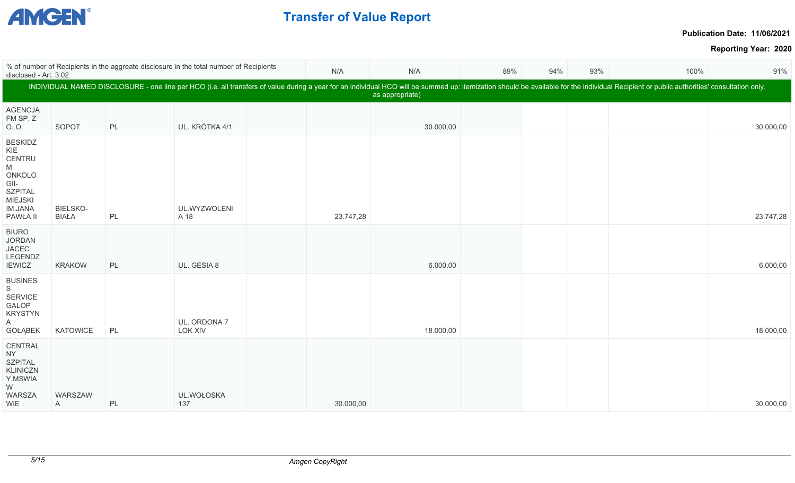

Г

# **Transfer of Value Report**

**Publication Date: 11/06/2021**

|                                                                                                                   | % of number of Recipients in the aggreate disclosure in the total number of Recipients<br>disclosed - Art. 3.02 |    |                                |  |           | N/A             | 89% | 94% | 93% | 100%                                                                                                                                                                                                                           | 91%       |
|-------------------------------------------------------------------------------------------------------------------|-----------------------------------------------------------------------------------------------------------------|----|--------------------------------|--|-----------|-----------------|-----|-----|-----|--------------------------------------------------------------------------------------------------------------------------------------------------------------------------------------------------------------------------------|-----------|
|                                                                                                                   |                                                                                                                 |    |                                |  |           | as appropriate) |     |     |     | INDIVIDUAL NAMED DISCLOSURE - one line per HCO (i.e. all transfers of value during a year for an individual HCO will be summed up: itemization should be available for the individual Recipient or public authorities' consult |           |
| <b>AGENCJA</b><br>FM SP. Z<br>O. O.                                                                               | SOPOT                                                                                                           | PL | UL. KRÓTKA 4/1                 |  |           | 30.000,00       |     |     |     |                                                                                                                                                                                                                                | 30.000,00 |
| <b>BESKIDZ</b><br>KIE<br>CENTRU<br>M<br>ONKOLO<br>GII-<br><b>SZPITAL</b><br>MIEJSKI<br><b>IM.JANA</b><br>PAWŁA II | BIELSKO-<br><b>BIAŁA</b>                                                                                        | PL | UL.WYZWOLENI<br>A 18           |  | 23.747,28 |                 |     |     |     |                                                                                                                                                                                                                                | 23.747,28 |
| <b>BIURO</b><br><b>JORDAN</b><br><b>JACEC</b><br>LEGENDZ<br><b>IEWICZ</b>                                         | <b>KRAKOW</b>                                                                                                   | PL | UL. GESIA 8                    |  |           | 6.000,00        |     |     |     |                                                                                                                                                                                                                                | 6.000,00  |
| <b>BUSINES</b><br>S<br><b>SERVICE</b><br>GALOP<br><b>KRYSTYN</b><br>A<br><b>GOŁĄBEK</b>                           | KATOWICE                                                                                                        | PL | UL. ORDONA 7<br><b>LOK XIV</b> |  |           | 18.000,00       |     |     |     |                                                                                                                                                                                                                                | 18.000,00 |
| CENTRAL<br>NY.<br><b>SZPITAL</b><br><b>KLINICZN</b><br>Y MSWIA<br>W<br>WARSZA<br>WIE                              | WARSZAW<br>A                                                                                                    | PL | UL.WOŁOSKA<br>137              |  | 30.000,00 |                 |     |     |     |                                                                                                                                                                                                                                | 30.000,00 |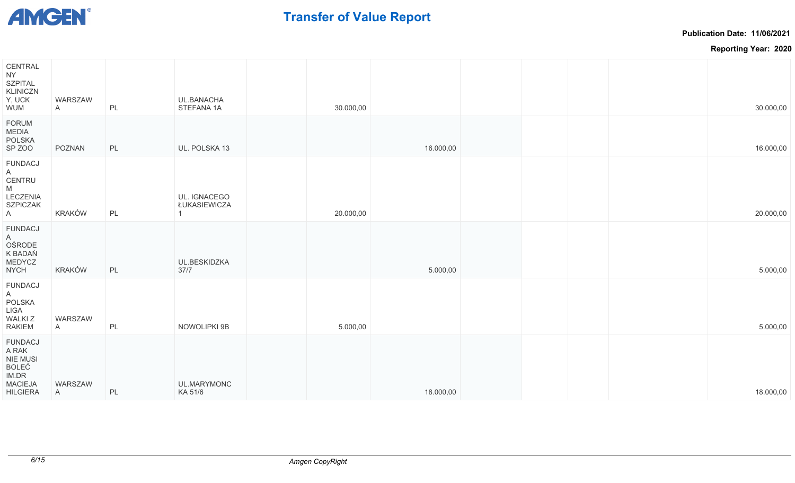

**Publication Date: 11/06/2021**

| CENTRAL<br>NY.<br><b>SZPITAL</b><br><b>KLINICZN</b><br>Y, UCK<br>WUM                       | WARSZAW<br>$\mathsf{A}$ | PL | UL.BANACHA<br>STEFANA 1A     | 30.000,00 |           |  | 30.000,00 |
|--------------------------------------------------------------------------------------------|-------------------------|----|------------------------------|-----------|-----------|--|-----------|
| <b>FORUM</b><br>MEDIA<br><b>POLSKA</b><br>SP ZOO                                           | POZNAN                  | PL | UL. POLSKA 13                |           | 16.000,00 |  | 16.000,00 |
| <b>FUNDACJ</b><br>A<br>CENTRU<br>M<br>LECZENIA<br><b>SZPICZAK</b><br>A                     | KRAKÓW                  | PL | UL. IGNACEGO<br>ŁUKASIEWICZA | 20.000,00 |           |  | 20.000,00 |
| <b>FUNDACJ</b><br>A<br>OŚRODE<br>K BADAŃ<br><b>MEDYCZ</b><br><b>NYCH</b>                   | KRAKÓW                  | PL | UL.BESKIDZKA<br>37/7         |           | 5.000,00  |  | 5.000,00  |
| <b>FUNDACJ</b><br>A<br><b>POLSKA</b><br>LIGA<br><b>WALKIZ</b><br>RAKIEM                    | WARSZAW<br>$\mathsf{A}$ | PL | NOWOLIPKI 9B                 | 5.000,00  |           |  | 5.000,00  |
| <b>FUNDACJ</b><br>A RAK<br><b>NIE MUSI</b><br>BOLEĆ<br>IM.DR<br>MACIEJA<br><b>HILGIERA</b> | WARSZAW<br>A            | PL | UL.MARYMONC<br>KA 51/6       |           | 18.000,00 |  | 18.000,00 |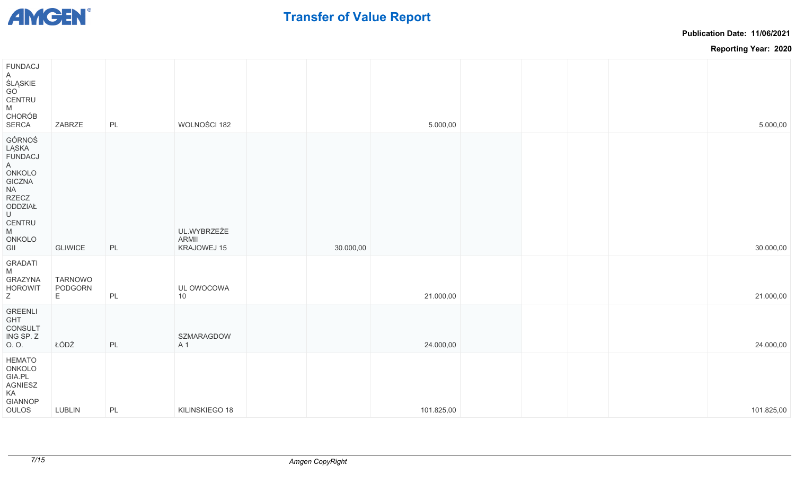

**Publication Date: 11/06/2021**

| <b>FUNDACJ</b><br>$\mathsf{A}$<br>ŚLĄSKIE<br>GO<br>CENTRU<br>M<br><b>CHORÓB</b><br><b>SERCA</b>                                                                                                                                                                         | ZABRZE                         | PL            | WOLNOŚCI 182                        |           | 5.000,00   | 5.000,00   |
|-------------------------------------------------------------------------------------------------------------------------------------------------------------------------------------------------------------------------------------------------------------------------|--------------------------------|---------------|-------------------------------------|-----------|------------|------------|
| GÓRNOŚ<br>LĄSKA<br><b>FUNDACJ</b><br>$\mathsf{A}$<br>ONKOLO<br><b>GICZNA</b><br><b>NA</b><br><b>RZECZ</b><br>ODDZIAŁ<br>$\cup$<br>CENTRU<br>$\mathsf{M}% _{T}=\mathsf{M}_{T}\!\left( a,b\right) ,\ \mathsf{M}_{T}=\mathsf{M}_{T}\!\left( a,b\right) ,$<br>ONKOLO<br>GII | <b>GLIWICE</b>                 | PL            | UL.WYBRZEŻE<br>ARMII<br>KRAJOWEJ 15 | 30.000,00 |            | 30.000,00  |
| <b>GRADATI</b><br>M<br><b>GRAZYNA</b><br><b>HOROWIT</b><br>Z                                                                                                                                                                                                            | <b>TARNOWO</b><br>PODGORN<br>Е | $\mathsf{PL}$ | UL OWOCOWA<br>10                    |           | 21.000,00  | 21.000,00  |
| <b>GREENLI</b><br>GHT<br>CONSULT<br>ING SP. Z<br>O.O.                                                                                                                                                                                                                   | ŁÓDŹ                           | $\mathsf{PL}$ | SZMARAGDOW<br>A 1                   |           | 24.000,00  | 24.000,00  |
| <b>HEMATO</b><br>ONKOLO<br>GIA.PL<br>AGNIESZ<br>KA<br><b>GIANNOP</b><br>OULOS                                                                                                                                                                                           | LUBLIN                         | PL            | KILINSKIEGO 18                      |           | 101.825,00 | 101.825,00 |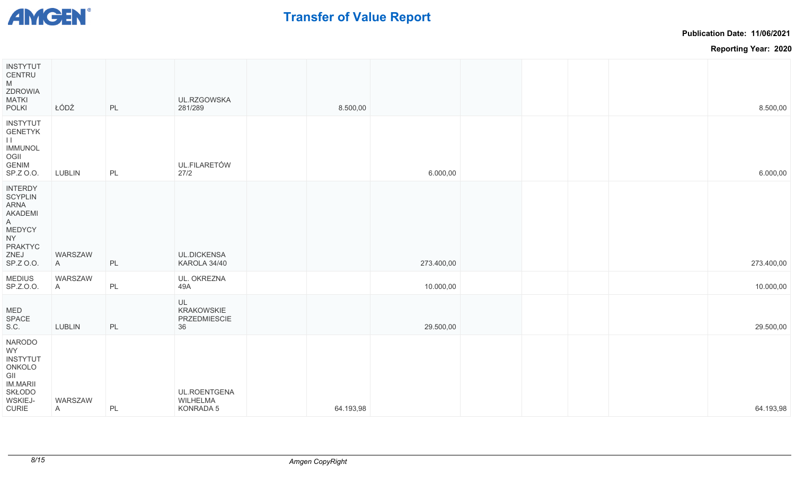

**Publication Date: 11/06/2021**

| <b>INSTYTUT</b><br>CENTRU<br>M<br><b>ZDROWIA</b><br>MATKI<br><b>POLKI</b>                                                     | ŁÓDŹ         | PL            | UL.RZGOWSKA<br>281/289                        | 8.500,00  |            |  | 8.500,00   |  |
|-------------------------------------------------------------------------------------------------------------------------------|--------------|---------------|-----------------------------------------------|-----------|------------|--|------------|--|
| <b>INSTYTUT</b><br><b>GENETYK</b><br>$\mathbf{H}$<br><b>IMMUNOL</b><br>OGII<br><b>GENIM</b><br>SP.Z 0.0.                      | LUBLIN       | PL            | <b>UL.FILARETÓW</b><br>27/2                   |           | 6.000,00   |  | 6.000,00   |  |
| <b>INTERDY</b><br><b>SCYPLIN</b><br>ARNA<br><b>AKADEMI</b><br>A<br>MEDYCY<br>NY I<br><b>PRAKTYC</b><br>ZNEJ<br>SP.Z O.O.      | WARSZAW<br>A | PL            | <b>UL.DICKENSA</b><br>KAROLA 34/40            |           | 273.400,00 |  | 273.400,00 |  |
| <b>MEDIUS</b><br>SP.Z.O.O.                                                                                                    | WARSZAW<br>A | $\mathsf{PL}$ | UL. OKREZNA<br>49A                            |           | 10.000,00  |  | 10.000,00  |  |
| MED<br><b>SPACE</b><br>S.C.                                                                                                   | LUBLIN       | PL            | UL<br><b>KRAKOWSKIE</b><br>PRZEDMIESCIE<br>36 |           | 29.500,00  |  | 29.500,00  |  |
| <b>NARODO</b><br>WY<br><b>INSTYTUT</b><br>ONKOLO<br>GII<br><b>IM.MARII</b><br><b>SKŁODO</b><br><b>WSKIEJ-</b><br><b>CURIE</b> | WARSZAW<br>A | PL            | UL.ROENTGENA<br>WILHELMA<br>KONRADA 5         | 64.193,98 |            |  | 64.193,98  |  |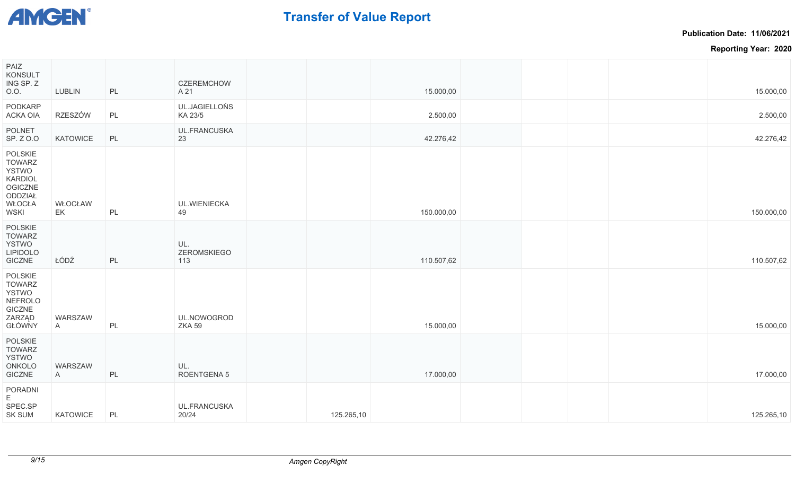

**Publication Date: 11/06/2021**

| PAIZ<br>KONSULT<br>ING SP. Z<br>O.O.                                                                      | <b>LUBLIN</b> | PL | <b>CZEREMCHOW</b><br>A 21    |            | 15.000,00  |  | 15.000,00  |
|-----------------------------------------------------------------------------------------------------------|---------------|----|------------------------------|------------|------------|--|------------|
| PODKARP<br><b>ACKA OIA</b>                                                                                | RZESZÓW       | PL | UL.JAGIELLOŃS<br>KA 23/5     |            | 2.500,00   |  | 2.500,00   |
| <b>POLNET</b><br>SP. Z 0.0                                                                                | KATOWICE      | PL | UL.FRANCUSKA<br>23           |            | 42.276,42  |  | 42.276,42  |
| POLSKIE<br><b>TOWARZ</b><br><b>YSTWO</b><br><b>KARDIOL</b><br>OGICZNE<br>ODDZIAŁ<br>WŁOCŁA<br><b>WSKI</b> | WŁOCŁAW<br>EK | PL | UL.WIENIECKA<br>49           |            | 150.000,00 |  | 150.000,00 |
| POLSKIE<br><b>TOWARZ</b><br>YSTWO<br><b>LIPIDOLO</b><br>GICZNE                                            | ŁÓDŹ          | PL | UL.<br>ZEROMSKIEGO<br>113    |            | 110.507,62 |  | 110.507,62 |
| POLSKIE<br><b>TOWARZ</b><br><b>YSTWO</b><br>NEFROLO<br>GICZNE<br>ZARZĄD<br>GŁÓWNY                         | WARSZAW<br>A  | PL | UL.NOWOGROD<br><b>ZKA 59</b> |            | 15.000,00  |  | 15.000,00  |
| POLSKIE<br><b>TOWARZ</b><br>YSTWO<br>ONKOLO<br>GICZNE                                                     | WARSZAW<br>A  | PL | UL.<br>ROENTGENA 5           |            | 17.000,00  |  | 17.000,00  |
| PORADNI<br>E.<br>SPEC.SP<br><b>SK SUM</b>                                                                 | KATOWICE      | PL | <b>UL.FRANCUSKA</b><br>20/24 | 125.265,10 |            |  | 125.265,10 |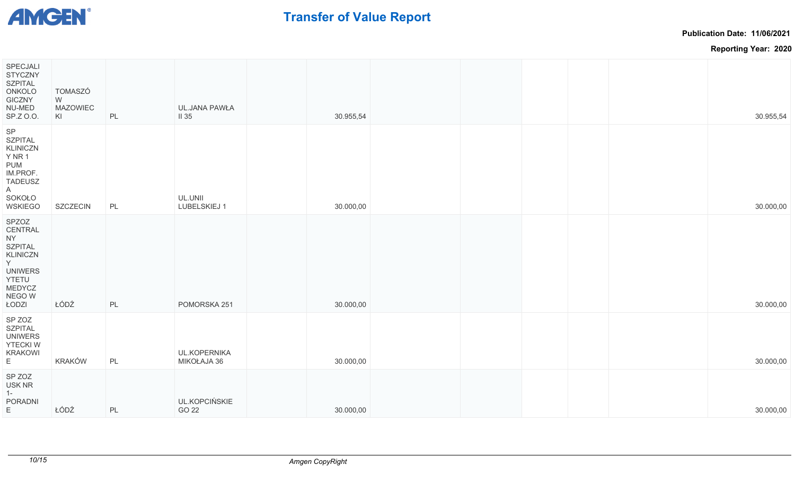

**Publication Date: 11/06/2021**

| SPECJALI<br><b>STYCZNY</b><br><b>SZPITAL</b><br>ONKOLO<br><b>GICZNY</b><br>NU-MED<br>SP.Z 0.0.                                 | <b>TOMASZÓ</b><br>W<br><b>MAZOWIEC</b><br>KI | PL | <b>UL.JANA PAWŁA</b><br>$II$ 35    | 30.955,54 |  |  | 30.955,54 |
|--------------------------------------------------------------------------------------------------------------------------------|----------------------------------------------|----|------------------------------------|-----------|--|--|-----------|
| SP<br><b>SZPITAL</b><br><b>KLINICZN</b><br><b>Y NR 1</b><br>PUM<br>IM.PROF.<br><b>TADEUSZ</b><br>A<br>SOKOŁO<br><b>WSKIEGO</b> | SZCZECIN                                     | PL | UL.UNII<br>LUBELSKIEJ 1            | 30.000,00 |  |  | 30.000,00 |
| SPZOZ<br>CENTRAL<br>NY<br><b>SZPITAL</b><br><b>KLINICZN</b><br>Y.<br><b>UNIWERS</b><br>YTETU<br>MEDYCZ<br>NEGO W<br>ŁODZI      | ŁÓDŹ                                         | PL | POMORSKA 251                       | 30.000,00 |  |  | 30.000,00 |
| SP ZOZ<br><b>SZPITAL</b><br><b>UNIWERS</b><br><b>YTECKIW</b><br><b>KRAKOWI</b><br>E.                                           | KRAKÓW                                       | PL | <b>UL.KOPERNIKA</b><br>MIKOŁAJA 36 | 30.000,00 |  |  | 30.000,00 |
| SP ZOZ<br>USK NR<br>$1 -$<br><b>PORADNI</b><br>E.                                                                              | ŁÓDŹ                                         | PL | UL.KOPCIŃSKIE<br>GO 22             | 30.000,00 |  |  | 30.000,00 |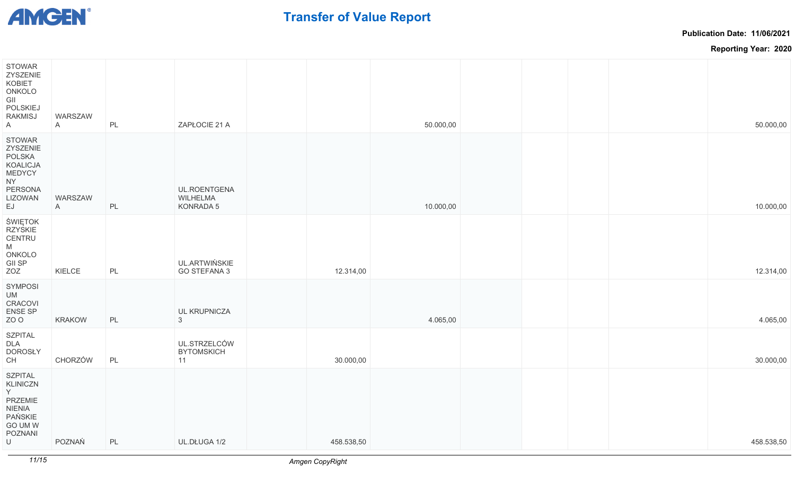

**Publication Date: 11/06/2021**

| <b>STOWAR</b><br>ZYSZENIE<br>KOBIET<br>ONKOLO<br>GII<br>POLSKIEJ<br>RAKMISJ<br>A                                   | WARSZAW<br>$\mathsf{A}$ | PL | ZAPŁOCIE 21 A                           |            | 50.000,00 |  | 50.000,00  |
|--------------------------------------------------------------------------------------------------------------------|-------------------------|----|-----------------------------------------|------------|-----------|--|------------|
| <b>STOWAR</b><br>ZYSZENIE<br>POLSKA<br><b>KOALICJA</b><br><b>MEDYCY</b><br>NY I<br>PERSONA<br><b>LIZOWAN</b><br>EJ | WARSZAW<br>A            | PL | UL.ROENTGENA<br>WILHELMA<br>KONRADA 5   |            | 10.000,00 |  | 10.000,00  |
| ŚWIĘTOK<br>RZYSKIE<br>CENTRU<br>M<br>ONKOLO<br>GII SP<br>ZOZ                                                       | KIELCE                  | PL | UL.ARTWIŃSKIE<br>GO STEFANA 3           | 12.314,00  |           |  | 12.314,00  |
| <b>SYMPOSI</b><br>UM<br><b>CRACOVI</b><br>ENSE SP<br>ZO O                                                          | <b>KRAKOW</b>           | PL | UL KRUPNICZA<br>3                       |            | 4.065,00  |  | 4.065,00   |
| <b>SZPITAL</b><br>DLA<br><b>DOROSŁY</b><br>СH                                                                      | CHORZÓW                 | PL | UL.STRZELCÓW<br><b>BYTOMSKICH</b><br>11 | 30.000,00  |           |  | 30.000,00  |
| <b>SZPITAL</b><br><b>KLINICZN</b><br>Y.<br>PRZEMIE<br>NIENIA<br>PAŃSKIE<br>GO UM W<br><b>POZNANI</b><br>U          | POZNAŃ                  | PL | UL.DŁUGA 1/2                            | 458.538,50 |           |  | 458.538,50 |
|                                                                                                                    |                         |    |                                         |            |           |  |            |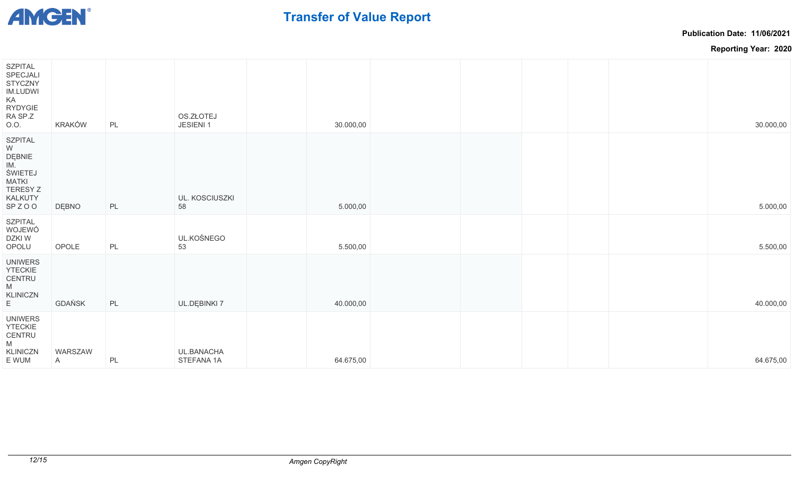

**Publication Date: 11/06/2021**

| SZPITAL<br>SPECJALI<br><b>STYCZNY</b><br><b>IM.LUDWI</b><br>KA<br>RYDYGIE<br>RA SP.Z<br>0.0.    | <b>KRAKÓW</b>           | PL | OS.ZŁOTEJ<br>JESIENI 1   | 30.000,00 |  |  | 30.000,00 |
|-------------------------------------------------------------------------------------------------|-------------------------|----|--------------------------|-----------|--|--|-----------|
| <b>SZPITAL</b><br>W<br>DĘBNIE<br>IM.<br>ŚWIETEJ<br>MATKI<br><b>TERESY Z</b><br>KALKUTY<br>SPZOO | DĘBNO                   | PL | UL. KOSCIUSZKI<br>58     | 5.000,00  |  |  | 5.000,00  |
| SZPITAL<br>WOJEWÓ<br>DZKI W<br>OPOLU                                                            | OPOLE                   | PL | UL.KOŚNEGO<br>53         | 5.500,00  |  |  | 5.500,00  |
| <b>UNIWERS</b><br><b>YTECKIE</b><br>CENTRU<br>M<br>KLINICZN<br>E                                | GDAŃSK                  | PL | UL.DĘBINKI 7             | 40.000,00 |  |  | 40.000,00 |
| <b>UNIWERS</b><br><b>YTECKIE</b><br>CENTRU<br>M<br>KLINICZN<br>E WUM                            | WARSZAW<br>$\mathsf{A}$ | PL | UL.BANACHA<br>STEFANA 1A | 64.675,00 |  |  | 64.675,00 |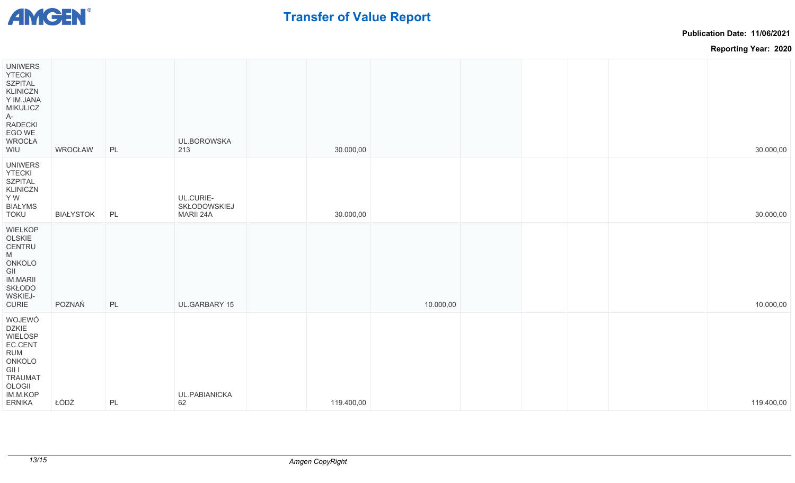

**Publication Date: 11/06/2021**

| <b>UNIWERS</b><br><b>YTECKI</b><br><b>SZPITAL</b><br><b>KLINICZN</b><br>Y IM.JANA<br><b>MIKULICZ</b><br>A-<br>RADECKI<br>EGO WE<br><b>WROCŁA</b><br>WIU | WROCŁAW          | PL | UL.BOROWSKA<br>213                     | 30.000,00  |           |  | 30.000,00  |
|---------------------------------------------------------------------------------------------------------------------------------------------------------|------------------|----|----------------------------------------|------------|-----------|--|------------|
| <b>UNIWERS</b><br><b>YTECKI</b><br><b>SZPITAL</b><br><b>KLINICZN</b><br>Y W<br><b>BIAŁYMS</b><br>TOKU                                                   | <b>BIAŁYSTOK</b> | PL | UL.CURIE-<br>SKŁODOWSKIEJ<br>MARII 24A | 30.000,00  |           |  | 30.000,00  |
| <b>WIELKOP</b><br>OLSKIE<br>CENTRU<br>M<br>ONKOLO<br>GII<br><b>IM.MARII</b><br><b>SKŁODO</b><br>WSKIEJ-<br><b>CURIE</b>                                 | POZNAŃ           | PL | UL.GARBARY 15                          |            | 10.000,00 |  | 10.000,00  |
| WOJEWÓ<br><b>DZKIE</b><br>WIELOSP<br>EC.CENT<br>RUM<br>ONKOLO<br><b>GII I</b><br><b>TRAUMAT</b><br>OLOGII<br>IM.M.KOP<br><b>ERNIKA</b>                  | ŁÓDŹ             | PL | UL.PABIANICKA<br>62                    | 119.400,00 |           |  | 119.400,00 |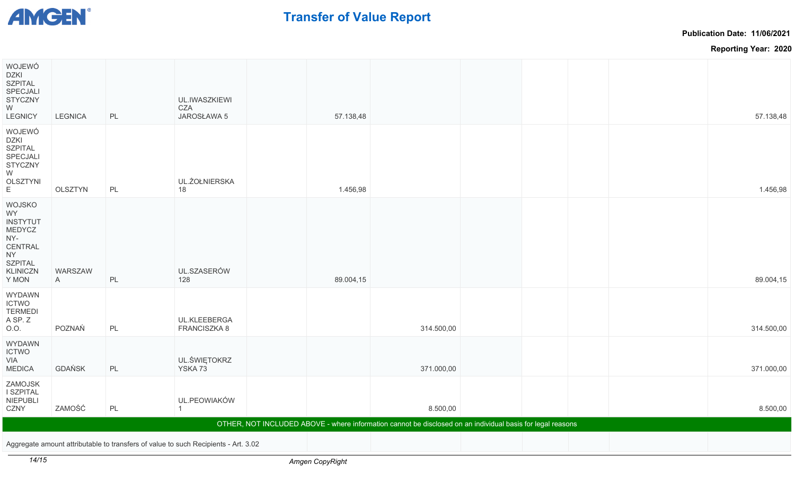

**Publication Date: 11/06/2021**

**Reporting Year: 2020**

| WOJEWÓ<br>DZKI<br><b>SZPITAL</b><br>SPECJALI<br><b>STYCZNY</b><br>W                                                    |                |    | UL.IWASZKIEWI<br>CZA                                                               |           |                                                                                                            |  |            |
|------------------------------------------------------------------------------------------------------------------------|----------------|----|------------------------------------------------------------------------------------|-----------|------------------------------------------------------------------------------------------------------------|--|------------|
| <b>LEGNICY</b>                                                                                                         | <b>LEGNICA</b> | PL | JAROSŁAWA 5                                                                        | 57.138,48 |                                                                                                            |  | 57.138,48  |
| WOJEWÓ<br>DZKI<br><b>SZPITAL</b><br>SPECJALI<br><b>STYCZNY</b><br>W<br><b>OLSZTYNI</b><br>E.                           | OLSZTYN        | PL | UL.ŻOŁNIERSKA<br>18                                                                | 1.456,98  |                                                                                                            |  | 1.456,98   |
| WOJSKO<br><b>WY</b><br><b>INSTYTUT</b><br>MEDYCZ<br>NY-<br>CENTRAL<br>NY<br><b>SZPITAL</b><br><b>KLINICZN</b><br>Y MON | WARSZAW<br>A   | PL | UL.SZASERÓW<br>128                                                                 | 89.004,15 |                                                                                                            |  | 89.004,15  |
| <b>WYDAWN</b><br><b>ICTWO</b><br><b>TERMEDI</b><br>A SP. Z<br>0.0.                                                     | POZNAŃ         | PL | UL.KLEEBERGA<br>FRANCISZKA 8                                                       |           | 314.500,00                                                                                                 |  | 314.500,00 |
| <b>WYDAWN</b><br><b>ICTWO</b><br>VIA<br><b>MEDICA</b>                                                                  | <b>GDAŃSK</b>  | PL | UL.ŚWIĘTOKRZ<br>YSKA 73                                                            |           | 371.000,00                                                                                                 |  | 371.000,00 |
| ZAMOJSK<br>I SZPITAL<br>NIEPUBLI<br>CZNY                                                                               | ZAMOŚĆ         | PL | UL.PEOWIAKÓW<br>1                                                                  |           | 8.500,00                                                                                                   |  | 8.500,00   |
|                                                                                                                        |                |    |                                                                                    |           | OTHER, NOT INCLUDED ABOVE - where information cannot be disclosed on an individual basis for legal reasons |  |            |
|                                                                                                                        |                |    | Aggregate amount attributable to transfers of value to such Recipients - Art. 3.02 |           |                                                                                                            |  |            |
|                                                                                                                        |                |    |                                                                                    |           |                                                                                                            |  |            |